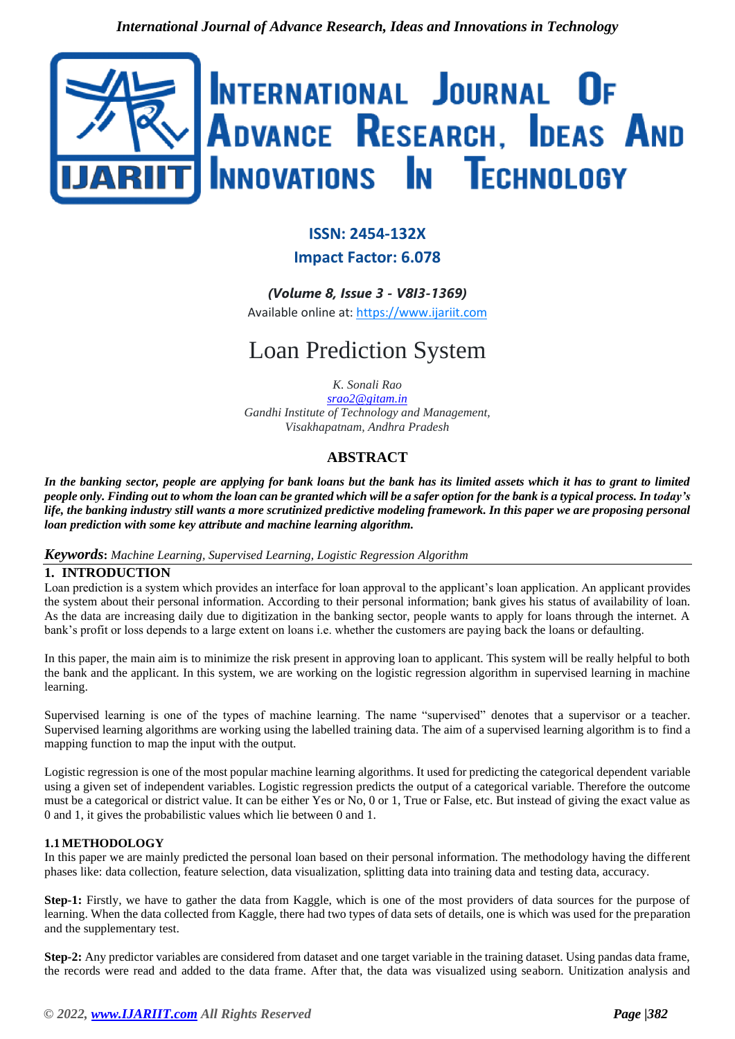

# **ISSN: 2454-132X**

### **Impact Factor: 6.078**

*(Volume 8, Issue 3 - V8I3-1369)*

Available online at: [https://www.ijariit.com](https://www.ijariit.com/?utm_source=pdf&utm_medium=edition&utm_campaign=OmAkSols&utm_term=V8I3-1369)

# Loan Prediction System

*K. Sonali Rao*

*[srao2@gitam.in](mailto:srao2@gitam.in) Gandhi Institute of Technology and Management, Visakhapatnam, Andhra Pradesh*

## **ABSTRACT**

*In the banking sector, people are applying for bank loans but the bank has its limited assets which it has to grant to limited people only. Finding out to whom the loan can be granted which will be a safer option for the bank is a typical process. In today's life, the banking industry still wants a more scrutinized predictive modeling framework. In this paper we are proposing personal loan prediction with some key attribute and machine learning algorithm.* 

#### *Keywords***:** *Machine Learning, Supervised Learning, Logistic Regression Algorithm*

#### **1. INTRODUCTION**

Loan prediction is a system which provides an interface for loan approval to the applicant's loan application. An applicant provides the system about their personal information. According to their personal information; bank gives his status of availability of loan. As the data are increasing daily due to digitization in the banking sector, people wants to apply for loans through the internet. A bank's profit or loss depends to a large extent on loans i.e. whether the customers are paying back the loans or defaulting.

In this paper, the main aim is to minimize the risk present in approving loan to applicant. This system will be really helpful to both the bank and the applicant. In this system, we are working on the logistic regression algorithm in supervised learning in machine learning.

Supervised learning is one of the types of machine learning. The name "supervised" denotes that a supervisor or a teacher. Supervised learning algorithms are working using the labelled training data. The aim of a supervised learning algorithm is to find a mapping function to map the input with the output.

Logistic regression is one of the most popular machine learning algorithms. It used for predicting the categorical dependent variable using a given set of independent variables. Logistic regression predicts the output of a categorical variable. Therefore the outcome must be a categorical or district value. It can be either Yes or No, 0 or 1, True or False, etc. But instead of giving the exact value as 0 and 1, it gives the probabilistic values which lie between 0 and 1.

#### **1.1 METHODOLOGY**

In this paper we are mainly predicted the personal loan based on their personal information. The methodology having the different phases like: data collection, feature selection, data visualization, splitting data into training data and testing data, accuracy.

**Step-1:** Firstly, we have to gather the data from Kaggle, which is one of the most providers of data sources for the purpose of learning. When the data collected from Kaggle, there had two types of data sets of details, one is which was used for the preparation and the supplementary test.

**Step-2:** Any predictor variables are considered from dataset and one target variable in the training dataset. Using pandas data frame, the records were read and added to the data frame. After that, the data was visualized using seaborn. Unitization analysis and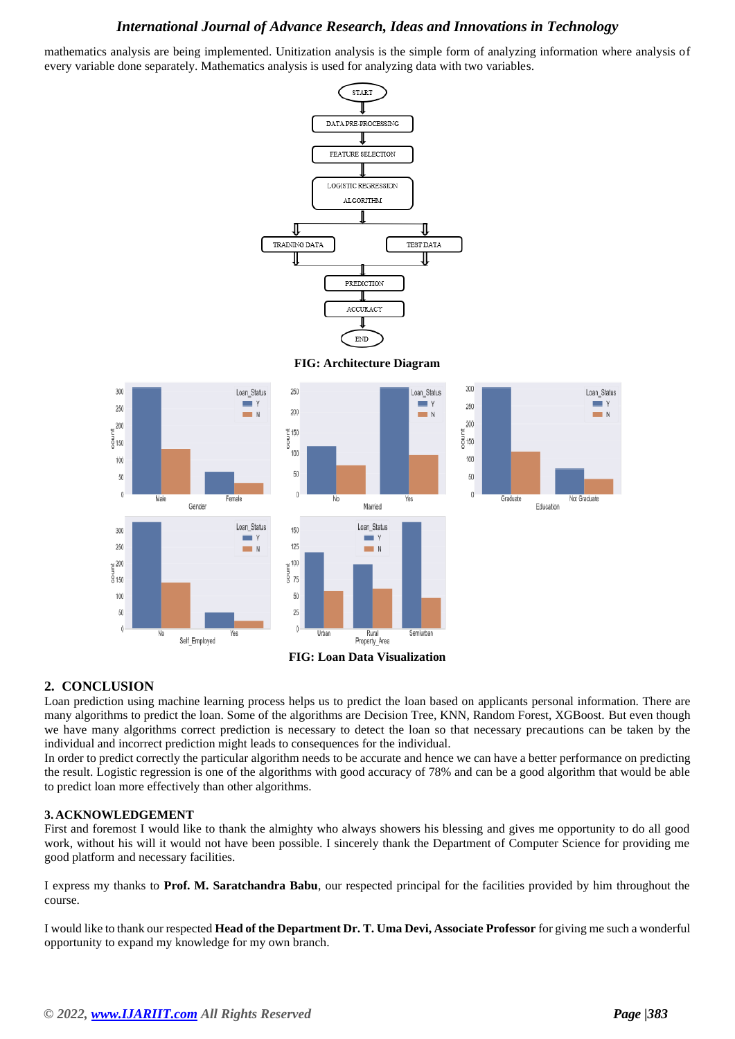#### *International Journal of Advance Research, Ideas and Innovations in Technology*

mathematics analysis are being implemented. Unitization analysis is the simple form of analyzing information where analysis of every variable done separately. Mathematics analysis is used for analyzing data with two variables.



**FIG: Architecture Diagram**



#### **2. CONCLUSION**

Loan prediction using machine learning process helps us to predict the loan based on applicants personal information. There are many algorithms to predict the loan. Some of the algorithms are Decision Tree, KNN, Random Forest, XGBoost. But even though we have many algorithms correct prediction is necessary to detect the loan so that necessary precautions can be taken by the individual and incorrect prediction might leads to consequences for the individual.

In order to predict correctly the particular algorithm needs to be accurate and hence we can have a better performance on predicting the result. Logistic regression is one of the algorithms with good accuracy of 78% and can be a good algorithm that would be able to predict loan more effectively than other algorithms.

#### **3. ACKNOWLEDGEMENT**

First and foremost I would like to thank the almighty who always showers his blessing and gives me opportunity to do all good work, without his will it would not have been possible. I sincerely thank the Department of Computer Science for providing me good platform and necessary facilities.

I express my thanks to **Prof. M. Saratchandra Babu**, our respected principal for the facilities provided by him throughout the course.

I would like to thank our respected **Head of the Department Dr. T. Uma Devi, Associate Professor** for giving me such a wonderful opportunity to expand my knowledge for my own branch.